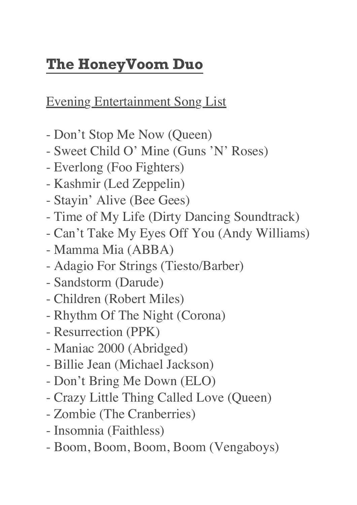## **The HoneyVoom Duo**

Evening Entertainment Song List

- Don't Stop Me Now (Queen)
- Sweet Child O' Mine (Guns 'N' Roses)
- Everlong (Foo Fighters)
- Kashmir (Led Zeppelin)
- Stayin' Alive (Bee Gees)
- Time of My Life (Dirty Dancing Soundtrack)
- Can't Take My Eyes Off You (Andy Williams)
- Mamma Mia (ABBA)
- Adagio For Strings (Tiesto/Barber)
- Sandstorm (Darude)
- Children (Robert Miles)
- Rhythm Of The Night (Corona)
- Resurrection (PPK)
- Maniac 2000 (Abridged)
- Billie Jean (Michael Jackson)
- Don't Bring Me Down (ELO)
- Crazy Little Thing Called Love (Queen)
- Zombie (The Cranberries)
- Insomnia (Faithless)
- Boom, Boom, Boom, Boom (Vengaboys)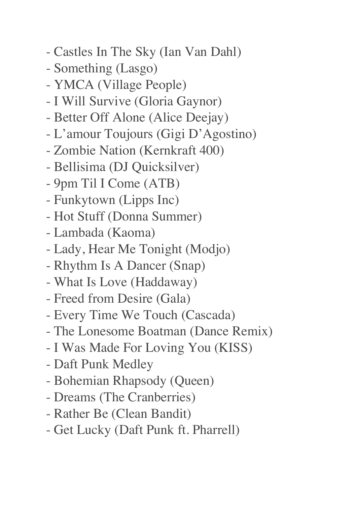- Castles In The Sky (Ian Van Dahl)
- Something (Lasgo)
- YMCA (Village People)
- I Will Survive (Gloria Gaynor)
- Better Off Alone (Alice Deejay)
- L'amour Toujours (Gigi D'Agostino)
- Zombie Nation (Kernkraft 400)
- Bellisima (DJ Quicksilver)
- 9pm Til I Come (ATB)
- Funkytown (Lipps Inc)
- Hot Stuff (Donna Summer)
- Lambada (Kaoma)
- Lady, Hear Me Tonight (Modjo)
- Rhythm Is A Dancer (Snap)
- What Is Love (Haddaway)
- Freed from Desire (Gala)
- Every Time We Touch (Cascada)
- The Lonesome Boatman (Dance Remix)
- I Was Made For Loving You (KISS)
- Daft Punk Medley
- Bohemian Rhapsody (Queen)
- Dreams (The Cranberries)
- Rather Be (Clean Bandit)
- Get Lucky (Daft Punk ft. Pharrell)